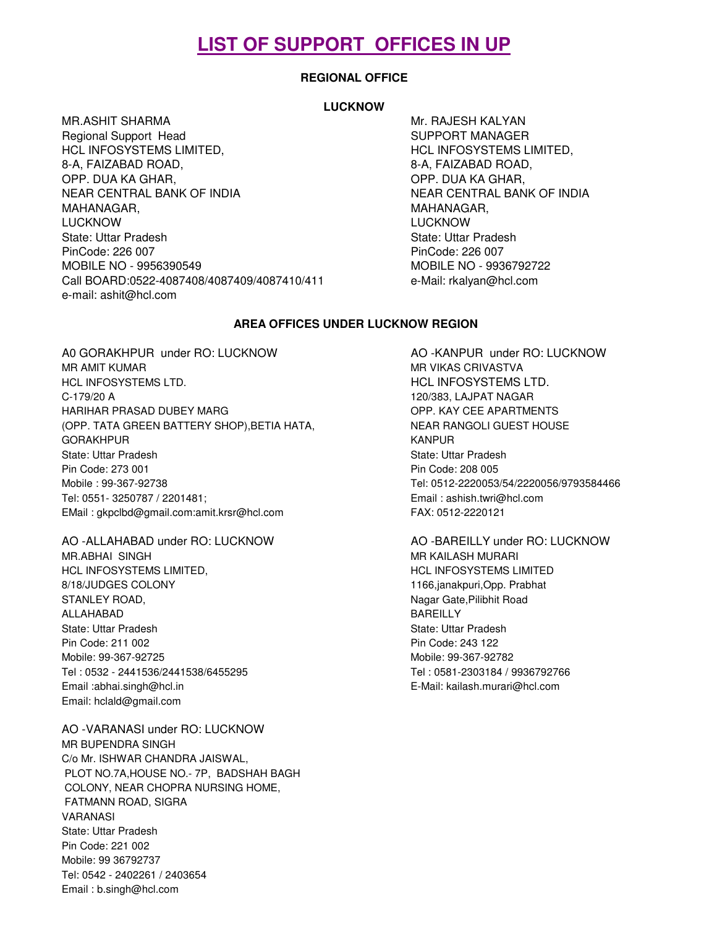# **LIST OF SUPPORT OFFICES IN UP**

# **REGIONAL OFFICE**

# **LUCKNOW**

MR.ASHIT SHARMA MARAHIT SHARMA MARAHIT SHARMA MARAHIT SHARMA MARAHIT SHARMA MARAHIT SHARMA MARAHIT SHARMA MARA Regional Support Head SUPPORT MANAGER HCL INFOSYSTEMS LIMITED, HCL INFOSYSTEMS LIMITED, 8-A, FAIZABAD ROAD, NEW BOOK SA, FAIZABAD ROAD, OPP. DUA KA GHAR, NEW YORP. DUA KA GHAR, NEAR CENTRAL BANK OF INDIA NEAR CENTRAL BANK OF INDIA MAHANAGAR, NAHANAGAR, NAHANAGAR, NAHANAGAR, NAHANAGAR, NAHANAGAR, NAHANAGAR, NAHANAGAR, NAHANAGAR, NAHANAGAR, N LUCKNOW LUCKNOW State: Uttar Pradesh State: Uttar Pradesh State: Uttar Pradesh PinCode: 226 007 PinCode: 226 007 MOBILE NO - 9956390549 MOBILE NO - 9936792722 Call BOARD:0522-4087408/4087409/4087410/411 e-Mail: rkalyan@hcl.com e-mail: ashit@hcl.com

### **AREA OFFICES UNDER LUCKNOW REGION**

A0 GORAKHPUR under RO: LUCKNOW AO -KANPUR under RO: LUCKNOW MR AMIT KUMAR MARKU MARKU MARKU MARKU MARKU MARKU MARKU MARKU MARKU MARKU MARKU MARKU MARKU MARKU MARKU MARKU HCL INFOSYSTEMS LTD. THE STATE SERIES AND HOLL INFOSYSTEMS LTD. C-179/20 A 120/383, LAJPAT NAGAR HARIHAR PRASAD DUBEY MARG **OPP. KAY CEE APARTMENTS** (OPP. TATA GREEN BATTERY SHOP), BETIA HATA, NEAR RANGOLI GUEST HOUSE GORAKHPUR KANPUR KANPUR KANPUR KANPUR KANPUR KANPUR KANPUR KANPUR KANPUR KANPUR KANPUR KANPUR KANPUR KANPUR KANPUR State: Uttar Pradesh State: Uttar Pradesh State: Uttar Pradesh State: Uttar Pradesh State: Uttar Pradesh State: Uttar Pradesh State: Uttar Pradesh State: Uttar Pradesh State: Uttar Pradesh State: Uttar Pradesh State: Uttar Pin Code: 273 001 Pin Code: 208 005 Mobile : 99-367-92738 Tel: 0512-2220053/54/2220056/9793584466 Tel: 0551- 3250787 / 2201481; Email : ashish.twri@hcl.com EMail : gkpclbd@gmail.com:amit.krsr@hcl.com FAX: 0512-2220121

AO -ALLAHABAD under RO: LUCKNOW AO -BAREILLY under RO: LUCKNOW MR.ABHAI SINGH MARAI SINGH MARAI SINGH MARAI MARAI MARAI MARAI MARAI MARAI MARAI MARAI MARAI MARAI MARAI MARAI HCL INFOSYSTEMS LIMITED, THE STATE SERVICE OF STATE SERVICE OF STATE SERVICES AND HCL INFOSYSTEMS LIMITED 8/18/JUDGES COLONY **1166,janakpuri,Opp. Prabhat** STANLEY ROAD, Nagar Gate, Pilibhit Road ALLAHABAD BAREILLY State: Uttar Pradesh State: Uttar Pradesh Pin Code: 211 002 Pin Code: 243 122 Mobile: 99-367-92725 Mobile: 99-367-92782 Tel : 0532 - 2441536/2441538/6455295 Tel : 0581-2303184 / 9936792766 Email :abhai.singh@hcl.in E-Mail: kailash.murari@hcl.com Email: hclald@gmail.com

AO -VARANASI under RO: LUCKNOW MR BUPENDRA SINGH C/o Mr. ISHWAR CHANDRA JAISWAL, PLOT NO.7A,HOUSE NO.- 7P, BADSHAH BAGH COLONY, NEAR CHOPRA NURSING HOME, FATMANN ROAD, SIGRA VARANASI State: Uttar Pradesh Pin Code: 221 002 Mobile: 99 36792737 Tel: 0542 - 2402261 / 2403654 Email : b.singh@hcl.com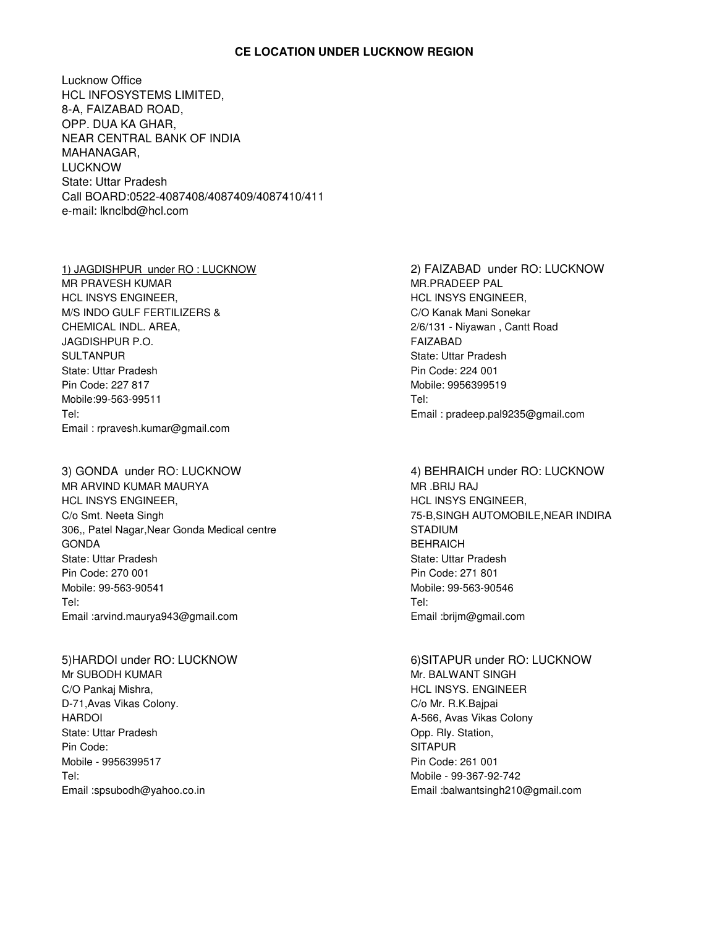# **CE LOCATION UNDER LUCKNOW REGION**

Lucknow Office HCL INFOSYSTEMS LIMITED, 8-A, FAIZABAD ROAD, OPP. DUA KA GHAR, NEAR CENTRAL BANK OF INDIA MAHANAGAR, LUCKNOW State: Uttar Pradesh Call BOARD:0522-4087408/4087409/4087410/411 e-mail: lknclbd@hcl.com

MR PRAVESH KUMAR MARING MARING MARING MARING MARING MARING MARING MARING MARING MARING MARING MARING MARING MA HCL INSYS ENGINEER, THE SECOND HOL INSYS ENGINEER, M/S INDO GULF FERTILIZERS & C/O Kanak Mani Sonekar CHEMICAL INDL. AREA, 2/6/131 - Niyawan , Cantt Road JAGDISHPUR P.O. FAIZABAD SULTANPUR SULTANPUR State: Uttar Pradesh **Pin Code: 224 001** Pin Code: 227 817 Mobile: 9956399519 Mobile:99-563-99511 Tel: Tel: Email : pradeep.pal9235@gmail.com Email : rpravesh.kumar@gmail.com

3) GONDA under RO: LUCKNOW 4) BEHRAICH under RO: LUCKNOW MR ARVIND KUMAR MAURYA MR .BRIJ RAJ HCL INSYS ENGINEER, THE STATE SERVICE SERVICE SERVICE INSYS ENGINEER, C/o Smt. Neeta Singh 75-B,SINGH AUTOMOBILE,NEAR INDIRA 306,, Patel Nagar, Near Gonda Medical centre STADIUM GONDA BEHRAICH State: Uttar Pradesh State: Uttar Pradesh State: Uttar Pradesh State: Uttar Pradesh State: Uttar Pradesh State: Uttar Pradesh State: Uttar Pradesh State: Uttar Pradesh State: Uttar Pradesh State: Uttar Pradesh State: Uttar Pin Code: 270 001 Pin Code: 271 801 Mobile: 99-563-90541 Mobile: 99-563-90546 Tel: Tel: Email :arvind.maurya943@gmail.com Email :brijm@gmail.com

Mr. SUBODH KUMAR MR. BALWANT SINGH C/O Pankaj Mishra, North Communist Communist Communist Communist Communist Communist Communist Communist Communist Communist Communist Communist Communist Communist Communist Communist Communist Communist Communist Communi D-71, Avas Vikas Colony. C/o Mr. R.K.Bajpai HARDOI **A-566, Avas Vikas Colony A-566, Avas Vikas Colony** State: Uttar Pradesh **Company** State: Uttar Pradesh **Opp.** Rly. Station, Pin Code: SITAPUR News Action of the SITAPUR SITAPUR Mobile - 9956399517 Pin Code: 261 001 Tel: Mobile - 99-367-92-742

1) JAGDISHPUR under RO : LUCKNOW 2) FAIZABAD under RO: LUCKNOW

5)HARDOI under RO: LUCKNOW 6)SITAPUR under RO: LUCKNOW Email :spsubodh@yahoo.co.in Email :balwantsingh210@gmail.com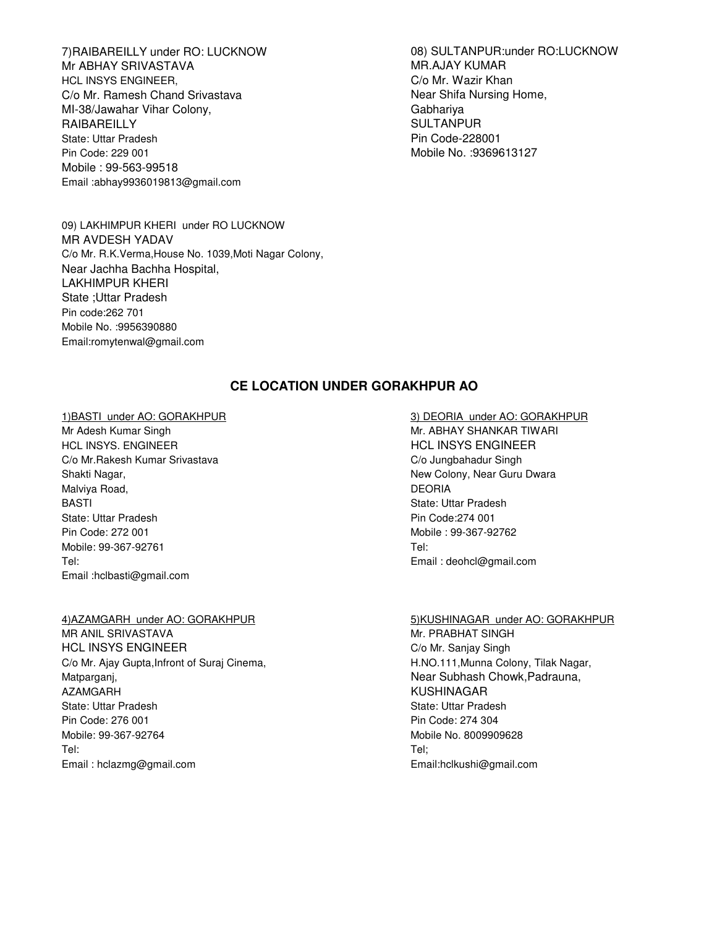Mr ABHAY SRIVASTAVA MARAJAY KUMAR HCL INSYS ENGINEER, C/o Mr. Wazir Khan C/o Mr. Ramesh Chand Srivastava Near Shifa Nursing Home, MI-38/Jawahar Vihar Colony, Gabhariya RAIBAREILLY **SULTANPUR** State: Uttar Pradesh Pin Code-228001 Pin Code: 229 001 Mobile No. :9369613127 Mobile : 99-563-99518 Email :abhay9936019813@gmail.com

09) LAKHIMPUR KHERI under RO LUCKNOW MR AVDESH YADAV C/o Mr. R.K.Verma,House No. 1039,Moti Nagar Colony, Near Jachha Bachha Hospital, LAKHIMPUR KHERI State ;Uttar Pradesh Pin code:262 701 Mobile No. :9956390880 Email:romytenwal@gmail.com

7)RAIBAREILLY under RO: LUCKNOW 08) SULTANPUR:under RO:LUCKNOW

# **CE LOCATION UNDER GORAKHPUR AO**

### 1)BASTI under AO: GORAKHPUR 3) DEORIA under AO: GORAKHPUR

HCL INSYS. ENGINEER **HOLL INSYS ENGINEER** C/o Mr.Rakesh Kumar Srivastava C/o Jungbahadur Singh Shakti Nagar, New Colony, Near Guru Dwara Malviya Road, **DEORIA** BASTI State: Uttar Pradesh State: Uttar Pradesh **Pin Code:274 001** Pin Code: 272 001 Mobile : 99-367-92762 Mobile: 99-367-92761 Tel: Tel: Email : deohcl@gmail.com Email :hclbasti@gmail.com

MR ANIL SRIVASTAVA MR ANIL SRIVASTAVA MR ANIL SANGHAT SINGH HCL INSYS ENGINEER **Company** Singh C/o Mr. Sanjay Singh C/o Mr. Ajay Gupta, Infront of Suraj Cinema, And Alexander Manuel H.NO.111, Munna Colony, Tilak Nagar, Matparganj, Near Subhash Chowk, Padrauna, Near Subhash Chowk, Padrauna, AZAMGARH KUSHINAGAR State: Uttar Pradesh State: Uttar Pradesh State: Uttar Pradesh State: Uttar Pradesh State: Uttar Pradesh State: Uttar Pradesh State: Uttar Pradesh State: Uttar Pradesh State: Uttar Pradesh State: Uttar Pradesh State: Uttar Pin Code: 276 001 Pin Code: 274 304 Mobile: 99-367-92764 Mobile No. 8009909628 Tel: Tel; Email : hclazmg@gmail.com Email:hclkushi@gmail.com

Mr Adesh Kumar Singh Mr. ABHAY SHANKAR TIWARI

### 4)AZAMGARH under AO: GORAKHPUR 5)KUSHINAGAR under AO: GORAKHPUR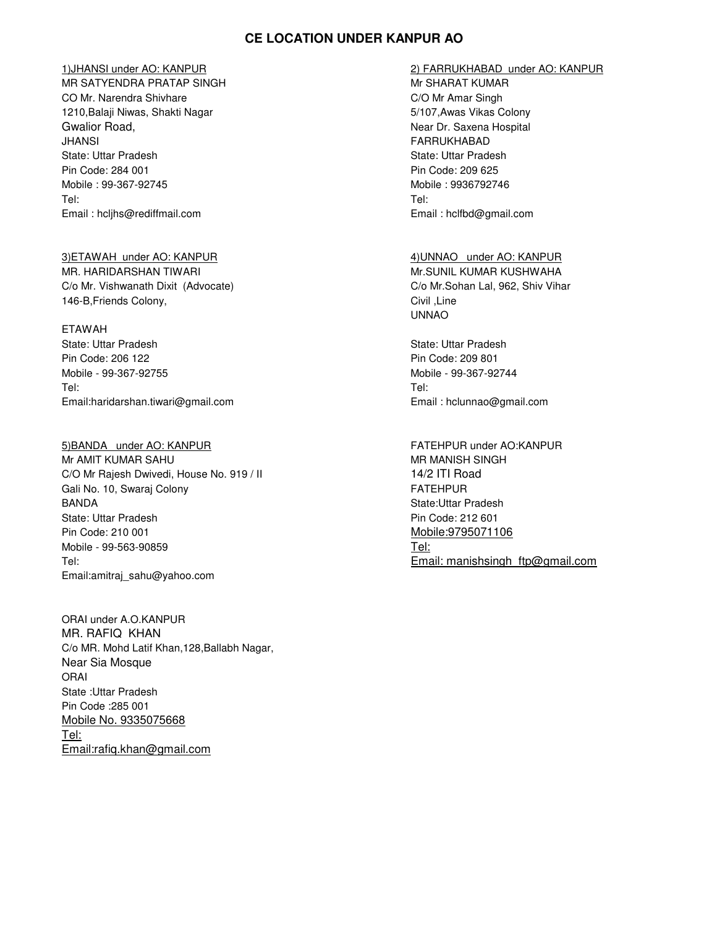# **CE LOCATION UNDER KANPUR AO**

MR SATYENDRA PRATAP SINGH MESHALL MISSION MESHARAT KUMAR CO Mr. Narendra Shivhare C/O Mr Amar Singh 1210,Balaji Niwas, Shakti Nagar 5/107,Awas Vikas Colony Gwalior Road, Near Dr. Saxena Hospital JHANSI FARRUKHABAD State: Uttar Pradesh State: Uttar Pradesh State: Uttar Pradesh State: Uttar Pradesh State: Uttar Pradesh State: Uttar Pradesh State: Uttar Pradesh State: Uttar Pradesh State: Uttar Pradesh State: Uttar Pradesh State: Uttar Pin Code: 284 001 Pin Code: 209 625 Mobile : 99-367-92745 Mobile : 9936792746 Tel: Tel: Email : hcljhs@rediffmail.com Email : hclfbd@gmail.com

MR. HARIDARSHAN TIWARI Mr.SUNIL KUMAR KUSHWAHA C/o Mr. Vishwanath Dixit (Advocate) C/o Mr.Sohan Lal, 962, Shiv Vihar 146-B,Friends Colony, Civil ,Line

### ETAWAH

State: Uttar Pradesh State: Uttar Pradesh State: Uttar Pradesh State: Uttar Pradesh State: Uttar Pradesh State: Uttar Pradesh State: Uttar Pradesh State: Uttar Pradesh State: Uttar Pradesh State: Uttar Pradesh State: Uttar Pin Code: 206 122 Pin Code: 209 801 Mobile - 99-367-92755 Mobile - 99-367-92744 Tel: Tel: Email:haridarshan.tiwari@gmail.com Email : hclunnao@gmail.com

5)BANDA under AO: KANPUR FATEHPUR under AO: KANPUR Mr AMIT KUMAR SAHU MARIT MASAHI MANISH SINGH C/O Mr Rajesh Dwivedi, House No. 919 / II 14/2 ITI Road Gali No. 10, Swaraj Colony **FATEHPUR** BANDA State:Uttar Pradesh State: Uttar Pradesh **Pin Code: 212 601** Pin Code: 212 601 Pin Code: 210 001 Mobile:9795071106 Mobile - 99-563-90859 Tel: Tel: Email: manishsingh\_ftp@gmail.com Email:amitraj\_sahu@yahoo.com

ORAI under A.O.KANPUR MR. RAFIQ KHAN C/o MR. Mohd Latif Khan,128,Ballabh Nagar, Near Sia Mosque ORAI State :Uttar Pradesh Pin Code :285 001 Mobile No. 9335075668 Tel: Email:rafiq.khan@gmail.com

### 1)JHANSI under AO: KANPUR 2) FARRUKHABAD under AO: KANPUR

3)ETAWAH under AO: KANPUR 4)UNNAO under AO: KANPUR UNNAO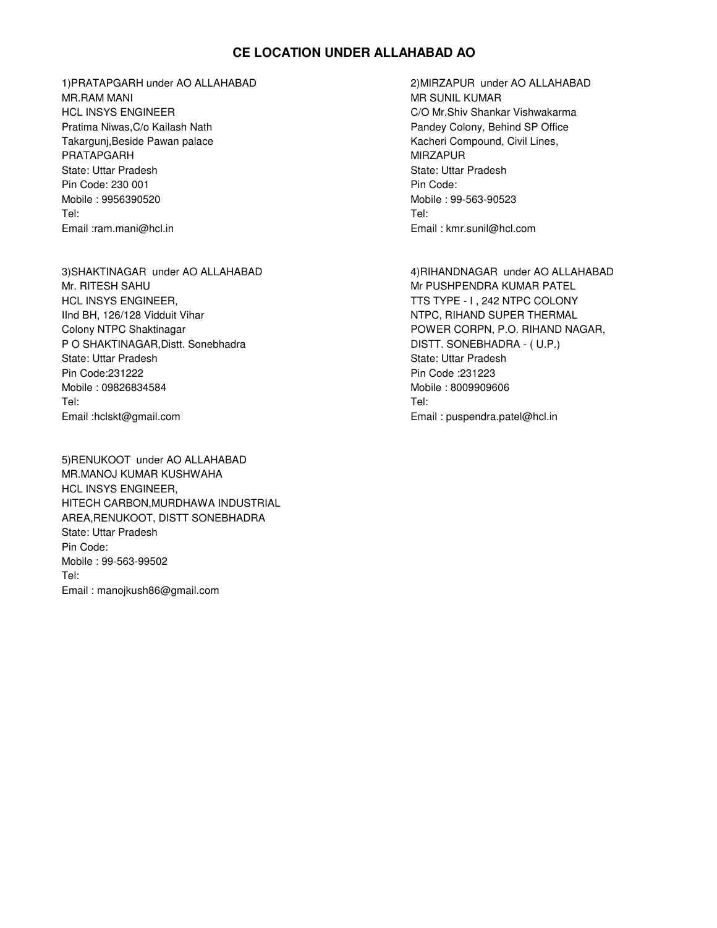# **CE LOCATION UNDER ALLAHABAD AO**

1)PRATAPGARH under AO ALLAHABAD 2)MIRZAPUR under AO ALLAHABAD MR.RAM MANI MR SUNIL KUMAR HCL INSYS ENGINEER C/O Mr.Shiv Shankar Vishwakarma Pratima Niwas, C/o Kailash Nath **Pandey Colony, Behind SP Office** Pandey Colony, Behind SP Office Takargunj,Beside Pawan palace **Kacheri Compound, Civil Lines,** Kacheri Compound, Civil Lines, PRATAPGARH MIRZAPUR NEWSFILM AND THE STATE OF THE MIRZAPUR State: Uttar Pradesh State: Uttar Pradesh State: Uttar Pradesh State: Uttar Pradesh State: Uttar Pradesh State: Uttar Pradesh State: Uttar Pradesh State: Uttar Pradesh State: Uttar Pradesh State: Uttar Pradesh State: Uttar Pin Code: 230 001 Pin Code: 230 001 Mobile : 9956390520 Mobile : 99-563-90523 Tel: Tel: Email :ram.mani@hcl.in Email : kmr.sunil@hcl.com

3)SHAKTINAGAR under AO ALLAHABAD 4)RIHANDNAGAR under AO ALLAHABAD Mr. RITESH SAHU MARA PATEL MARA TASHIR MARA PATEL MARA PATEL MARA PATEL HCL INSYS ENGINEER, THE STATE STATE STATE OF THE STATE OF THE STATE OF THE STATE OF THE STATE OF THE STATE OF THE STATE OF THE STATE OF THE STATE OF THE STATE OF THE STATE OF THE STATE OF THE STATE OF THE STATE OF THE STAT IInd BH, 126/128 Vidduit Vihar NTPC, RIHAND SUPER THERMAL Colony NTPC Shaktinagar **POWER CORPN, P.O. RIHAND NAGAR,** P O SHAKTINAGAR, Distt. Sonebhadra DISTT. SONEBHADRA - (U.P.) State: Uttar Pradesh State: Uttar Pradesh State: Uttar Pradesh State: Uttar Pradesh State: Uttar Pradesh State: Uttar Pradesh State: Uttar Pradesh State: Uttar Pradesh State: Uttar Pradesh State: Uttar Pradesh State: Uttar Pin Code:231222 Pin Code :231223 Mobile : 09826834584 Mobile : 8009909606 Tel: Tel: Email :hclskt@gmail.com Email : puspendra.patel@hcl.in

5)RENUKOOT under AO ALLAHABAD MR.MANOJ KUMAR KUSHWAHA HCL INSYS ENGINEER, HITECH CARBON,MURDHAWA INDUSTRIAL AREA,RENUKOOT, DISTT SONEBHADRA State: Uttar Pradesh Pin Code: Mobile : 99-563-99502 Tel: Email : manojkush86@gmail.com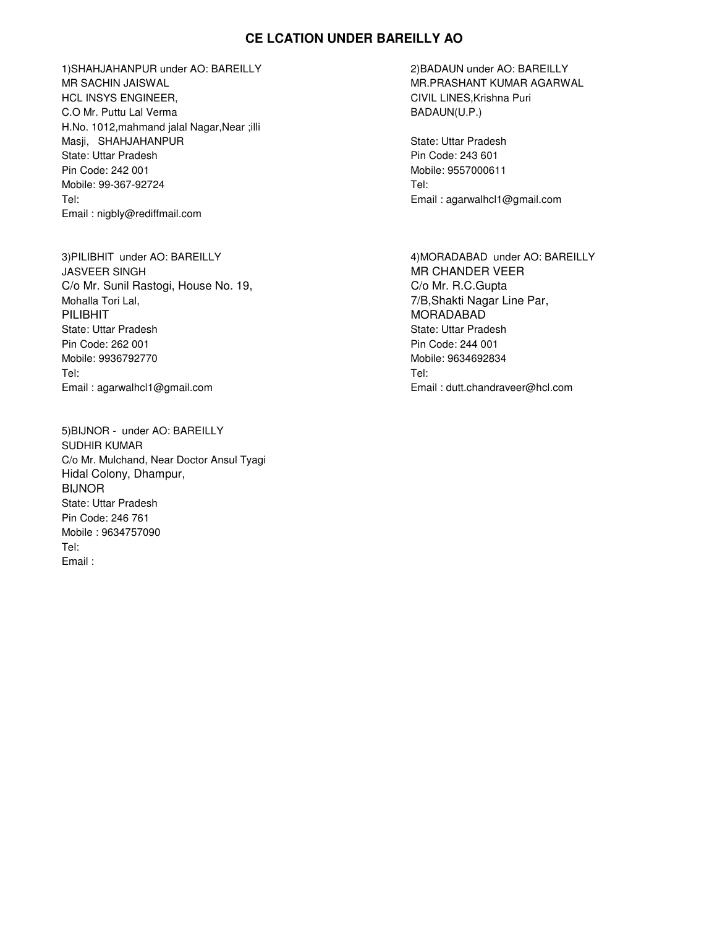# **CE LCATION UNDER BAREILLY AO**

1)SHAHJAHANPUR under AO: BAREILLY 2)BADAUN under AO: BAREILLY MR SACHIN JAISWAL MR.PRASHANT KUMAR AGARWAL HCL INSYS ENGINEER, The CIVIL LINES, Krishna Puri C.O Mr. Puttu Lal Verma BADAUN(U.P.) H.No. 1012,mahmand jalal Nagar,Near ;illi Masji, SHAHJAHANPUR State: Uttar Pradesh State: Uttar Pradesh **Pin Code: 243 601** Pin Code: 243 601 Pin Code: 242 001 Mobile: 9557000611 Mobile: 99-367-92724 Tel: Tel: Email : agarwalhcl1@gmail.com Email : nigbly@rediffmail.com

3)PILIBHIT under AO: BAREILLY 4)MORADABAD under AO: BAREILLY JASVEER SINGH MR CHANDER VEER C/o Mr. Sunil Rastogi, House No. 19, C/o Mr. R.C.Gupta Mohalla Tori Lal, **7/B,Shakti Nagar Line Par**, PILIBHIT NORADABAD NORADABAD NORADABAD MORADABAD State: Uttar Pradesh State: Uttar Pradesh Pin Code: 262 001 Pin Code: 244 001 Mobile: 9936792770 Mobile: 9634692834 Tel: Tel: Email : agarwalhcl1@gmail.com Email : dutt.chandraveer@hcl.com

5)BIJNOR - under AO: BAREILLY SUDHIR KUMAR C/o Mr. Mulchand, Near Doctor Ansul Tyagi Hidal Colony, Dhampur, BIJNOR State: Uttar Pradesh Pin Code: 246 761 Mobile : 9634757090 Tel: Email :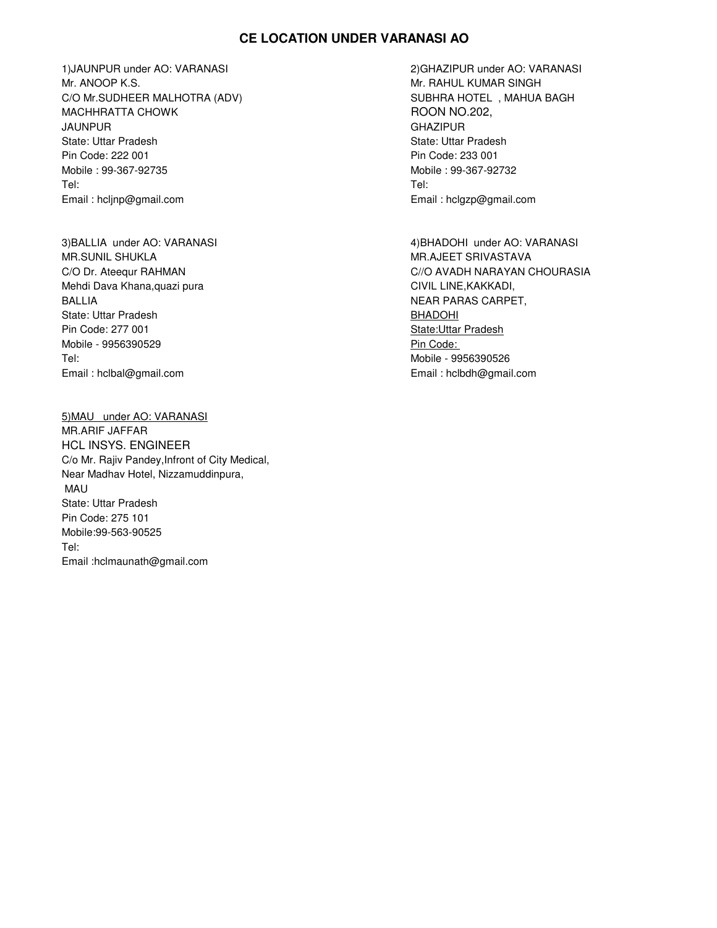# **CE LOCATION UNDER VARANASI AO**

1)JAUNPUR under AO: VARANASI 2)GHAZIPUR under AO: VARANASI Mr. ANOOP K.S. No. 2008 and the set of the set of the set of the set of the set of the set of the set of the set of the set of the set of the set of the set of the set of the set of the set of the set of the set of the set C/O Mr.SUDHEER MALHOTRA (ADV) SUBHRA HOTEL , MAHUA BAGH MACHHRATTA CHOWK **ROON NO.202,** JAUNPUR GHAZIPUR State: Uttar Pradesh State: Uttar Pradesh State: Uttar Pradesh State: Uttar Pradesh State: Uttar Pradesh State: U Pin Code: 222 001 Pin Code: 233 001 Mobile : 99-367-92735 Mobile : 99-367-92732 Tel: Tel: Email : hcljnp@gmail.com Email : hclgzp@gmail.com

MR.SUNIL SHUKLA MAR.SUNIL SHUKLA MAR.SUNIL SHUKLA MAR.SUNIL SHUKLA MAR. AJEET SRIVASTAVA Mehdi Dava Khana,quazi pura CIVIL LINE,KAKKADI, BALLIA NEAR PARAS CARPET, State: Uttar Pradesh BHADOHI Pin Code: 277 001 State:Uttar Pradesh Mobile - 9956390529 Pin Code: Tel: Mobile - 9956390526 Email : hclbal@gmail.com Email : hclbdh@gmail.com

5)MAU under AO: VARANASI MR.ARIF JAFFAR HCL INSYS. ENGINEER C/o Mr. Rajiv Pandey,Infront of City Medical, Near Madhav Hotel, Nizzamuddinpura, MAU State: Uttar Pradesh Pin Code: 275 101 Mobile:99-563-90525 Tel: Email :hclmaunath@gmail.com

3)BALLIA under AO: VARANASI 4)BHADOHI under AO: VARANASI C/O Dr. Ateequr RAHMAN CHOURASIA CHOURASIA CHOURASIA